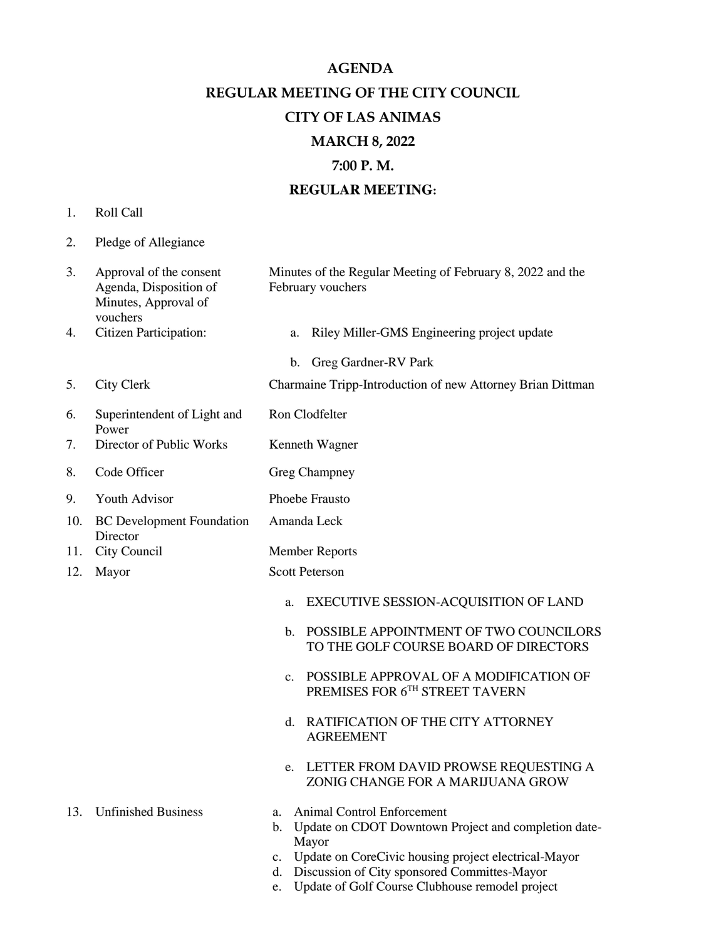**AGENDA REGULAR MEETING OF THE CITY COUNCIL CITY OF LAS ANIMAS MARCH 8, 2022 7:00 P. M. REGULAR MEETING:**

- 1. Roll Call
- 2. Pledge of Allegiance

| 3.  | Approval of the consent<br>Agenda, Disposition of<br>Minutes, Approval of<br>vouchers | Minutes of the Regular Meeting of February 8, 2022 and the<br>February vouchers                                                                                                                                       |
|-----|---------------------------------------------------------------------------------------|-----------------------------------------------------------------------------------------------------------------------------------------------------------------------------------------------------------------------|
| 4.  | <b>Citizen Participation:</b>                                                         | Riley Miller-GMS Engineering project update<br>a.                                                                                                                                                                     |
|     |                                                                                       | b. Greg Gardner-RV Park                                                                                                                                                                                               |
| 5.  | <b>City Clerk</b>                                                                     | Charmaine Tripp-Introduction of new Attorney Brian Dittman                                                                                                                                                            |
| 6.  | Superintendent of Light and<br>Power                                                  | Ron Clodfelter                                                                                                                                                                                                        |
| 7.  | Director of Public Works                                                              | Kenneth Wagner                                                                                                                                                                                                        |
| 8.  | Code Officer                                                                          | Greg Champney                                                                                                                                                                                                         |
| 9.  | Youth Advisor                                                                         | Phoebe Frausto                                                                                                                                                                                                        |
| 10. | <b>BC</b> Development Foundation<br>Director                                          | Amanda Leck                                                                                                                                                                                                           |
| 11. | City Council                                                                          | <b>Member Reports</b>                                                                                                                                                                                                 |
| 12. | Mayor                                                                                 | <b>Scott Peterson</b>                                                                                                                                                                                                 |
|     |                                                                                       | EXECUTIVE SESSION-ACQUISITION OF LAND<br>a.                                                                                                                                                                           |
|     |                                                                                       | POSSIBLE APPOINTMENT OF TWO COUNCILORS<br>$\mathbf{b}$ .<br>TO THE GOLF COURSE BOARD OF DIRECTORS                                                                                                                     |
|     |                                                                                       | POSSIBLE APPROVAL OF A MODIFICATION OF<br>$\mathbf{c}$ .<br>PREMISES FOR $6^{\mathrm{TH}}$ STREET TAVERN                                                                                                              |
|     |                                                                                       | RATIFICATION OF THE CITY ATTORNEY<br>d.<br><b>AGREEMENT</b>                                                                                                                                                           |
|     |                                                                                       | LETTER FROM DAVID PROWSE REQUESTING A<br>e.<br>ZONIG CHANGE FOR A MARIJUANA GROW                                                                                                                                      |
| 13. | <b>Unfinished Business</b>                                                            | Animal Control Enforcement<br>a.<br>Update on CDOT Downtown Project and completion date-<br>b.<br>Mayor<br>c. Update on CoreCivic housing project electrical-Mayor<br>d. Discussion of City sponsored Committes-Mayor |

e. Update of Golf Course Clubhouse remodel project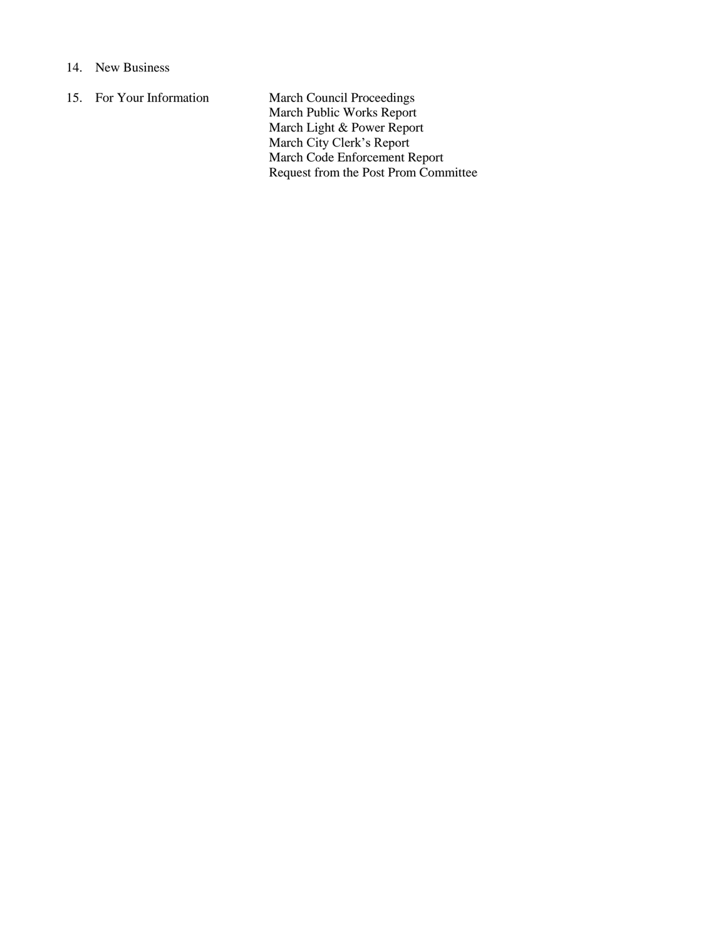## 14. New Business

15. For Your Information March Council Proceedings March Public Works Report March Light & Power Report March City Clerk's Report March Code Enforcement Report Request from the Post Prom Committee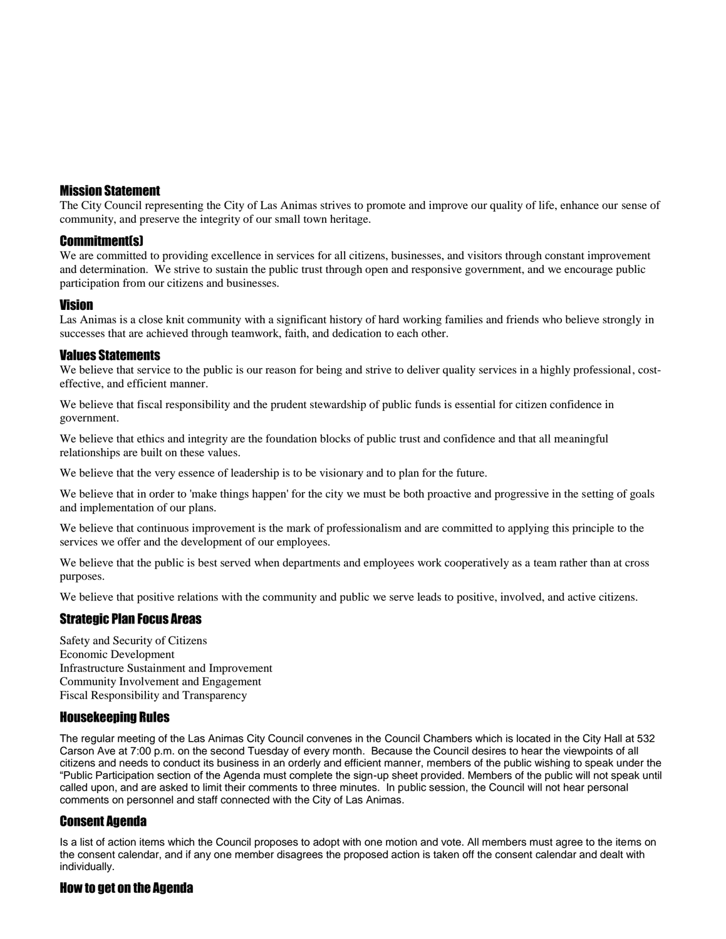# Mission Statement

The City Council representing the City of Las Animas strives to promote and improve our quality of life, enhance our sense of community, and preserve the integrity of our small town heritage.

### Commitment(s)

We are committed to providing excellence in services for all citizens, businesses, and visitors through constant improvement and determination. We strive to sustain the public trust through open and responsive government, and we encourage public participation from our citizens and businesses.

## Vision

Las Animas is a close knit community with a significant history of hard working families and friends who believe strongly in successes that are achieved through teamwork, faith, and dedication to each other.

### Values Statements

We believe that service to the public is our reason for being and strive to deliver quality services in a highly professional, costeffective, and efficient manner.

We believe that fiscal responsibility and the prudent stewardship of public funds is essential for citizen confidence in government.

We believe that ethics and integrity are the foundation blocks of public trust and confidence and that all meaningful relationships are built on these values.

We believe that the very essence of leadership is to be visionary and to plan for the future.

We believe that in order to 'make things happen' for the city we must be both proactive and progressive in the setting of goals and implementation of our plans.

We believe that continuous improvement is the mark of professionalism and are committed to applying this principle to the services we offer and the development of our employees.

We believe that the public is best served when departments and employees work cooperatively as a team rather than at cross purposes.

We believe that positive relations with the community and public we serve leads to positive, involved, and active citizens.

## Strategic Plan Focus Areas

Safety and Security of Citizens Economic Development Infrastructure Sustainment and Improvement Community Involvement and Engagement Fiscal Responsibility and Transparency

## Housekeeping Rules

The regular meeting of the Las Animas City Council convenes in the Council Chambers which is located in the City Hall at 532 Carson Ave at 7:00 p.m. on the second Tuesday of every month. Because the Council desires to hear the viewpoints of all citizens and needs to conduct its business in an orderly and efficient manner, members of the public wishing to speak under the "Public Participation section of the Agenda must complete the sign-up sheet provided. Members of the public will not speak until called upon, and are asked to limit their comments to three minutes. In public session, the Council will not hear personal comments on personnel and staff connected with the City of Las Animas.

## Consent Agenda

Is a list of action items which the Council proposes to adopt with one motion and vote. All members must agree to the items on the consent calendar, and if any one member disagrees the proposed action is taken off the consent calendar and dealt with individually.

#### How to get on the Agenda